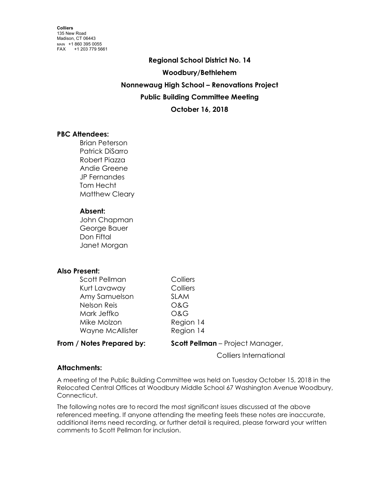**Regional School District No. 14 Woodbury/Bethlehem Nonnewaug High School – Renovations Project Public Building Committee Meeting October 16, 2018**

# **PBC Attendees:**

Brian Peterson Patrick DiSarro Robert Piazza Andie Greene JP Fernandes Tom Hecht Matthew Cleary

# **Absent:**

John Chapman George Bauer Don Fiftal Janet Morgan

# **Also Present:**

| From / Notes Prepared by: | <b>Scott Pellman</b> – Project Manager, |
|---------------------------|-----------------------------------------|
| Wayne McAllister          | Region 14                               |
| Mike Molzon               | Region 14                               |
| Mark Jeffko               | <b>O&amp;G</b>                          |
| Nelson Reis               | <b>O&amp;G</b>                          |
| Amy Samuelson             | <b>SLAM</b>                             |
| Kurt Lavaway              | Colliers                                |
| Scott Pellman             | Colliers                                |

Colliers International

# **Attachments:**

A meeting of the Public Building Committee was held on Tuesday October 15, 2018 in the Relocated Central Offices at Woodbury Middle School 67 Washington Avenue Woodbury, Connecticut.

The following notes are to record the most significant issues discussed at the above referenced meeting. If anyone attending the meeting feels these notes are inaccurate, additional items need recording, or further detail is required, please forward your written comments to Scott Pellman for inclusion.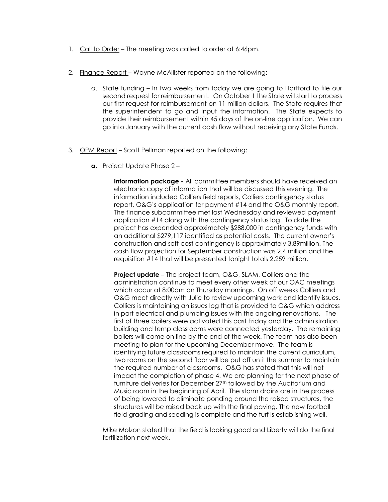- 1. Call to Order The meeting was called to order at 6:46pm.
- 2. Finance Report Wayne McAllister reported on the following:
	- a. State funding In two weeks from today we are going to Hartford to file our second request for reimbursement. On October 1 the State will start to process our first request for reimbursement on 11 million dollars. The State requires that the superintendent to go and input the information. The State expects to provide their reimbursement within 45 days of the on-line application. We can go into January with the current cash flow without receiving any State Funds.
- 3. OPM Report Scott Pellman reported on the following:
	- **a.** Project Update Phase 2 –

**Information package -** All committee members should have received an electronic copy of information that will be discussed this evening. The information included Colliers field reports, Colliers contingency status report, O&G's application for payment #14 and the O&G monthly report. The finance subcommittee met last Wednesday and reviewed payment application #14 along with the contingency status log. To date the project has expended approximately \$288,000 in contingency funds with an additional \$279,117 identified as potential costs. The current owner's construction and soft cost contingency is approximately 3.89million. The cash flow projection for September construction was 2.4 million and the requisition #14 that will be presented tonight totals 2.259 million.

**Project update** – The project team, O&G, SLAM, Colliers and the administration continue to meet every other week at our OAC meetings which occur at 8:00am on Thursday mornings. On off weeks Colliers and O&G meet directly with Julie to review upcoming work and identify issues. Colliers is maintaining an issues log that is provided to O&G which address in part electrical and plumbing issues with the ongoing renovations. The first of three boilers were activated this past Friday and the administration building and temp classrooms were connected yesterday. The remaining boilers will come on line by the end of the week. The team has also been meeting to plan for the upcoming December move. The team is identifying future classrooms required to maintain the current curriculum, two rooms on the second floor will be put off until the summer to maintain the required number of classrooms. O&G has stated that this will not impact the completion of phase 4. We are planning for the next phase of furniture deliveries for December 27th followed by the Auditorium and Music room in the beginning of April. The storm drains are in the process of being lowered to eliminate ponding around the raised structures, the structures will be raised back up with the final paving. The new football field grading and seeding is complete and the turf is establishing well.

Mike Molzon stated that the field is looking good and Liberty will do the final fertilization next week.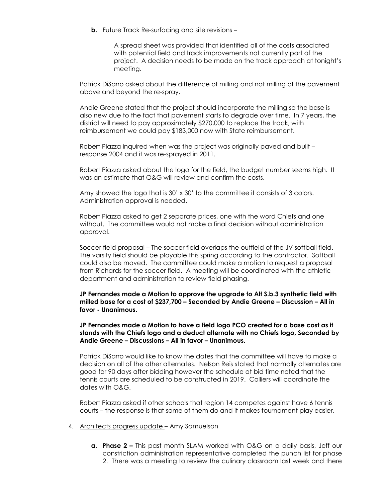**b.** Future Track Re-surfacing and site revisions –

A spread sheet was provided that identified all of the costs associated with potential field and track improvements not currently part of the project. A decision needs to be made on the track approach at tonight's meeting.

Patrick DiSarro asked about the difference of milling and not milling of the pavement above and beyond the re-spray.

Andie Greene stated that the project should incorporate the milling so the base is also new due to the fact that pavement starts to degrade over time. In 7 years, the district will need to pay approximately \$270,000 to replace the track, with reimbursement we could pay \$183,000 now with State reimbursement.

Robert Piazza inquired when was the project was originally paved and built – response 2004 and it was re-sprayed in 2011.

Robert Piazza asked about the logo for the field, the budget number seems high. It was an estimate that O&G will review and confirm the costs.

Amy showed the logo that is 30' x 30' to the committee it consists of 3 colors. Administration approval is needed.

Robert Piazza asked to get 2 separate prices, one with the word Chiefs and one without. The committee would not make a final decision without administration approval.

Soccer field proposal – The soccer field overlaps the outfield of the JV softball field. The varsity field should be playable this spring according to the contractor. Softball could also be moved. The committee could make a motion to request a proposal from Richards for the soccer field. A meeting will be coordinated with the athletic department and administration to review field phasing.

**JP Fernandes made a Motion to approve the upgrade to Alt S.b.3 synthetic field with milled base for a cost of \$237,700 – Seconded by Andie Greene – Discussion – All in favor - Unanimous.**

**JP Fernandes made a Motion to have a field logo PCO created for a base cost as it stands with the Chiefs logo and a deduct alternate with no Chiefs logo, Seconded by Andie Greene – Discussions – All in favor – Unanimous.**

Patrick DiSarro would like to know the dates that the committee will have to make a decision on all of the other alternates. Nelson Reis stated that normally alternates are good for 90 days after bidding however the schedule at bid time noted that the tennis courts are scheduled to be constructed in 2019. Colliers will coordinate the dates with O&G.

Robert Piazza asked if other schools that region 14 competes against have 6 tennis courts – the response is that some of them do and it makes tournament play easier.

- 4. Architects progress update Amy Samuelson
	- **a. Phase 2 –** This past month SLAM worked with O&G on a daily basis, Jeff our constriction administration representative completed the punch list for phase 2. There was a meeting to review the culinary classroom last week and there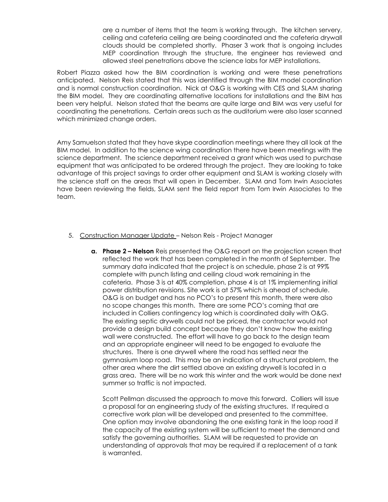are a number of items that the team is working through. The kitchen servery, ceiling and cafeteria ceiling are being coordinated and the cafeteria drywall clouds should be completed shortly. Phaser 3 work that is ongoing includes MEP coordination through the structure, the engineer has reviewed and allowed steel penetrations above the science labs for MEP installations.

Robert Piazza asked how the BIM coordination is working and were these penetrations anticipated. Nelson Reis stated that this was identified through the BIM model coordination and is normal construction coordination. Nick at O&G is working with CES and SLAM sharing the BIM model. They are coordinating alternative locations for installations and the BIM has been very helpful. Nelson stated that the beams are quite large and BIM was very useful for coordinating the penetrations. Certain areas such as the auditorium were also laser scanned which minimized change orders.

Amy Samuelson stated that they have skype coordination meetings where they all look at the BIM model. In addition to the science wing coordination there have been meetings with the science department. The science department received a grant which was used to purchase equipment that was anticipated to be ordered through the project. They are looking to take advantage of this project savings to order other equipment and SLAM is working closely with the science staff on the areas that will open in December. SLAM and Tom Irwin Associates have been reviewing the fields, SLAM sent the field report from Tom Irwin Associates to the team.

- 5. Construction Manager Update Nelson Reis Project Manager
	- **a. Phase 2 – Nelson** Reis presented the O&G report on the projection screen that reflected the work that has been completed in the month of September. The summary data indicated that the project is on schedule, phase 2 is at 99% complete with punch listing and ceiling cloud work remaining in the cafeteria. Phase 3 is at 40% completion, phase 4 is at 1% implementing initial power distribution revisions. Site work is at 57% which is ahead of schedule. O&G is on budget and has no PCO's to present this month, there were also no scope changes this month. There are some PCO's coming that are included in Colliers contingency log which is coordinated daily with O&G. The existing septic drywells could not be priced, the contractor would not provide a design build concept because they don't know how the existing wall were constructed. The effort will have to go back to the design team and an appropriate engineer will need to be engaged to evaluate the structures. There is one drywell where the road has settled near the gymnasium loop road. This may be an indication of a structural problem, the other area where the dirt settled above an existing drywell is located in a grass area. There will be no work this winter and the work would be done next summer so traffic is not impacted.

Scott Pellman discussed the approach to move this forward. Colliers will issue a proposal for an engineering study of the existing structures. If required a corrective work plan will be developed and presented to the committee. One option may involve abandoning the one existing tank in the loop road if the capacity of the existing system will be sufficient to meet the demand and satisfy the governing authorities. SLAM will be requested to provide an understanding of approvals that may be required if a replacement of a tank is warranted.